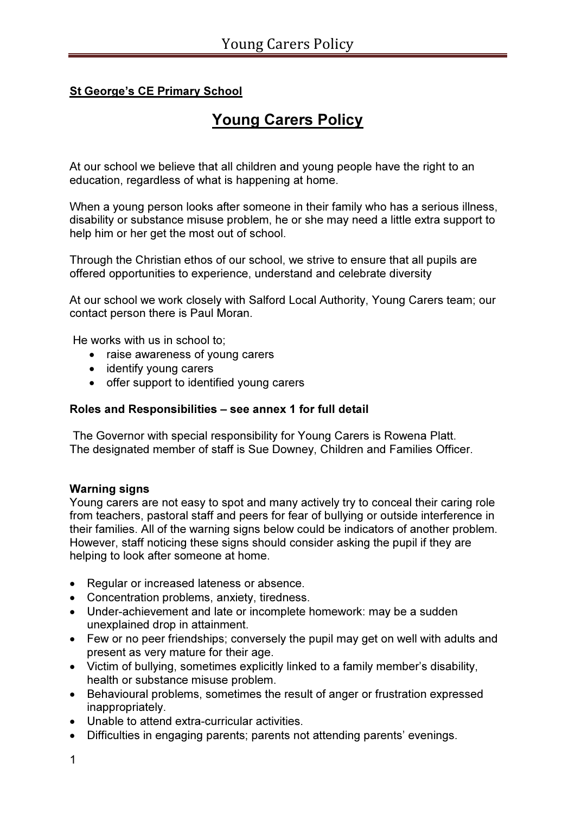# **St George's CE Primary School**

# Young Carers Policy

At our school we believe that all children and young people have the right to an education, regardless of what is happening at home.

When a young person looks after someone in their family who has a serious illness, disability or substance misuse problem, he or she may need a little extra support to help him or her get the most out of school.

Through the Christian ethos of our school, we strive to ensure that all pupils are offered opportunities to experience, understand and celebrate diversity

At our school we work closely with Salford Local Authority, Young Carers team; our contact person there is Paul Moran.

He works with us in school to;

- raise awareness of young carers
- identify young carers
- offer support to identified young carers

#### Roles and Responsibilities – see annex 1 for full detail

 The Governor with special responsibility for Young Carers is Rowena Platt. The designated member of staff is Sue Downey, Children and Families Officer.

#### Warning signs

Young carers are not easy to spot and many actively try to conceal their caring role from teachers, pastoral staff and peers for fear of bullying or outside interference in their families. All of the warning signs below could be indicators of another problem. However, staff noticing these signs should consider asking the pupil if they are helping to look after someone at home.

- Regular or increased lateness or absence.
- Concentration problems, anxiety, tiredness.
- Under-achievement and late or incomplete homework: may be a sudden unexplained drop in attainment.
- Few or no peer friendships; conversely the pupil may get on well with adults and present as very mature for their age.
- Victim of bullying, sometimes explicitly linked to a family member's disability, health or substance misuse problem.
- Behavioural problems, sometimes the result of anger or frustration expressed inappropriately.
- Unable to attend extra-curricular activities.
- Difficulties in engaging parents; parents not attending parents' evenings.